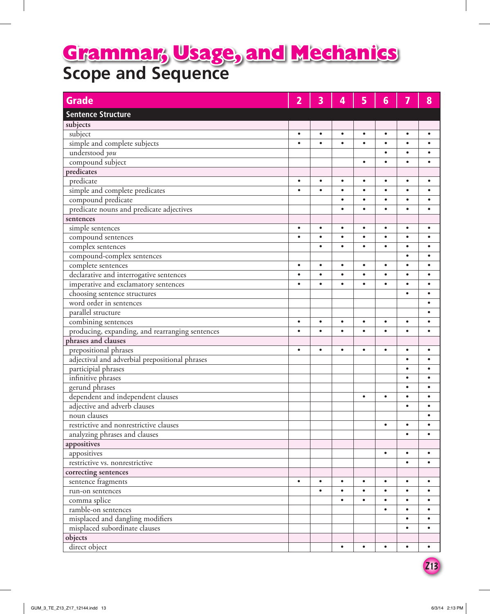## **Scope and Sequence Grammar, Usage, and Mechanics**

| <b>Grade</b>                                    | 2         | 3         | 4         | 5         | 6         | 7         | 8         |
|-------------------------------------------------|-----------|-----------|-----------|-----------|-----------|-----------|-----------|
| <b>Sentence Structure</b>                       |           |           |           |           |           |           |           |
| subjects                                        |           |           |           |           |           |           |           |
| subject                                         | $\bullet$ | $\bullet$ | $\bullet$ | $\bullet$ | $\bullet$ | $\bullet$ | $\bullet$ |
| simple and complete subjects                    | $\bullet$ | $\bullet$ | $\bullet$ | $\bullet$ | $\bullet$ | $\bullet$ | $\bullet$ |
| understood you                                  |           |           |           |           | $\bullet$ | $\bullet$ | $\bullet$ |
| compound subject                                |           |           |           | $\bullet$ | $\bullet$ | $\bullet$ |           |
| predicates                                      |           |           |           |           |           |           |           |
| predicate                                       | $\bullet$ | $\bullet$ | $\bullet$ | $\bullet$ | $\bullet$ | $\bullet$ | $\bullet$ |
| simple and complete predicates                  | $\bullet$ | $\bullet$ | $\bullet$ | $\bullet$ | $\bullet$ | $\bullet$ |           |
| compound predicate                              |           |           | $\bullet$ | $\bullet$ | $\bullet$ | $\bullet$ |           |
| predicate nouns and predicate adjectives        |           |           | $\bullet$ | $\bullet$ | $\bullet$ | $\bullet$ | $\bullet$ |
| sentences                                       |           |           |           |           |           |           |           |
| simple sentences                                | $\bullet$ | $\bullet$ | $\bullet$ | $\bullet$ | $\bullet$ | $\bullet$ | $\bullet$ |
| compound sentences                              | $\bullet$ | $\bullet$ | $\bullet$ | $\bullet$ | $\bullet$ | $\bullet$ | $\bullet$ |
| complex sentences                               |           | $\bullet$ | $\bullet$ | $\bullet$ | $\bullet$ | $\bullet$ |           |
| compound-complex sentences                      |           |           |           |           |           | $\bullet$ | $\bullet$ |
| complete sentences                              | $\bullet$ | $\bullet$ | $\bullet$ | $\bullet$ | $\bullet$ | $\bullet$ | $\bullet$ |
| declarative and interrogative sentences         | $\bullet$ | $\bullet$ | $\bullet$ | $\bullet$ | $\bullet$ | $\bullet$ | $\bullet$ |
| imperative and exclamatory sentences            | $\bullet$ | $\bullet$ | $\bullet$ | $\bullet$ | $\bullet$ | $\bullet$ | $\bullet$ |
| choosing sentence structures                    |           |           |           |           |           | $\bullet$ | $\bullet$ |
| word order in sentences                         |           |           |           |           |           |           |           |
| parallel structure                              |           |           |           |           |           |           |           |
| combining sentences                             | $\bullet$ | $\bullet$ | $\bullet$ | $\bullet$ | $\bullet$ | $\bullet$ | $\bullet$ |
| producing, expanding, and rearranging sentences | $\bullet$ | $\bullet$ | $\bullet$ | $\bullet$ |           | $\bullet$ |           |
| phrases and clauses                             |           |           |           |           |           |           |           |
| prepositional phrases                           | $\bullet$ | $\bullet$ | $\bullet$ | $\bullet$ | $\bullet$ | $\bullet$ | $\bullet$ |
| adjectival and adverbial prepositional phrases  |           |           |           |           |           | $\bullet$ | $\bullet$ |
| participial phrases                             |           |           |           |           |           | $\bullet$ | $\bullet$ |
| infinitive phrases                              |           |           |           |           |           | $\bullet$ | $\bullet$ |
| gerund phrases                                  |           |           |           |           |           | $\bullet$ | $\bullet$ |
| dependent and independent clauses               |           |           |           | $\bullet$ | $\bullet$ | $\bullet$ | $\bullet$ |
| adjective and adverb clauses                    |           |           |           |           |           | $\bullet$ | $\bullet$ |
| noun clauses                                    |           |           |           |           |           |           |           |
| restrictive and nonrestrictive clauses          |           |           |           |           | $\bullet$ | $\bullet$ | $\bullet$ |
| analyzing phrases and clauses                   |           |           |           |           |           | $\bullet$ | $\bullet$ |
| appositives                                     |           |           |           |           |           |           |           |
| appositives                                     |           |           |           |           | $\bullet$ | $\bullet$ | $\bullet$ |
| restrictive vs. nonrestrictive                  |           |           |           |           |           | $\bullet$ | $\bullet$ |
| correcting sentences                            |           |           |           |           |           |           |           |
| sentence fragments                              | $\bullet$ | $\bullet$ | $\bullet$ | $\bullet$ | $\bullet$ | $\bullet$ | $\bullet$ |
| run-on sentences                                |           | $\bullet$ | $\bullet$ | $\bullet$ | $\bullet$ | $\bullet$ | $\bullet$ |
| comma splice                                    |           |           | $\bullet$ | $\bullet$ | $\bullet$ | $\bullet$ | $\bullet$ |
| ramble-on sentences                             |           |           |           |           |           | $\bullet$ | $\bullet$ |
| misplaced and dangling modifiers                |           |           |           |           |           | $\bullet$ | $\bullet$ |
| misplaced subordinate clauses                   |           |           |           |           |           | $\bullet$ | $\bullet$ |
| objects                                         |           |           |           |           |           |           |           |
| direct object                                   |           |           | $\bullet$ | $\bullet$ | $\bullet$ | $\bullet$ | $\bullet$ |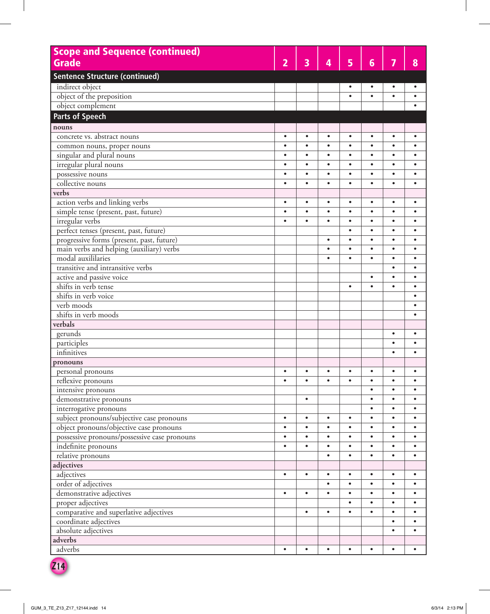| <b>Scope and Sequence (continued)</b>        |                |           |           |           |           |           |           |
|----------------------------------------------|----------------|-----------|-----------|-----------|-----------|-----------|-----------|
| <b>Grade</b>                                 | $\overline{2}$ | 3         | 4         | 5         | 6         | 7         | 8         |
| <b>Sentence Structure (continued)</b>        |                |           |           |           |           |           |           |
| indirect object                              |                |           |           | $\bullet$ | $\bullet$ | $\bullet$ |           |
| object of the preposition                    |                |           |           | $\bullet$ | $\bullet$ | $\bullet$ |           |
| object complement                            |                |           |           |           |           |           |           |
| <b>Parts of Speech</b>                       |                |           |           |           |           |           |           |
| nouns                                        |                |           |           |           |           |           |           |
| concrete vs. abstract nouns                  | $\bullet$      | $\bullet$ | $\bullet$ | $\bullet$ | $\bullet$ | $\bullet$ | $\bullet$ |
| common nouns, proper nouns                   | $\bullet$      | $\bullet$ | $\bullet$ | $\bullet$ | $\bullet$ | $\bullet$ | $\bullet$ |
| singular and plural nouns                    | $\bullet$      | $\bullet$ | $\bullet$ | $\bullet$ | $\bullet$ | $\bullet$ | ٠         |
| irregular plural nouns                       | $\bullet$      | $\bullet$ | $\bullet$ | $\bullet$ | $\bullet$ | $\bullet$ | $\bullet$ |
| possessive nouns                             | $\bullet$      | $\bullet$ | $\bullet$ | $\bullet$ | $\bullet$ | $\bullet$ | $\bullet$ |
| collective nouns                             | $\bullet$      | $\bullet$ | $\bullet$ | $\bullet$ | $\bullet$ | $\bullet$ | ٠         |
| verbs                                        |                |           |           |           |           |           |           |
| action verbs and linking verbs               | $\bullet$      | $\bullet$ | $\bullet$ | $\bullet$ | $\bullet$ | $\bullet$ | $\bullet$ |
| simple tense (present, past, future)         | $\bullet$      | $\bullet$ | $\bullet$ | $\bullet$ | $\bullet$ | $\bullet$ | ٠         |
| irregular verbs                              | $\bullet$      | $\bullet$ | $\bullet$ | $\bullet$ | $\bullet$ | $\bullet$ | $\bullet$ |
| perfect tenses (present, past, future)       |                |           |           | $\bullet$ | $\bullet$ | $\bullet$ | $\bullet$ |
| progressive forms (present, past, future)    |                |           | $\bullet$ | $\bullet$ | $\bullet$ | $\bullet$ | $\bullet$ |
| main verbs and helping (auxiliary) verbs     |                |           | $\bullet$ | $\bullet$ | $\bullet$ | $\bullet$ | $\bullet$ |
| modal auxililaries                           |                |           | $\bullet$ | $\bullet$ | $\bullet$ | $\bullet$ | $\bullet$ |
| transitive and intransitive verbs            |                |           |           |           |           | $\bullet$ | $\bullet$ |
| active and passive voice                     |                |           |           |           | $\bullet$ | $\bullet$ | $\bullet$ |
| shifts in verb tense                         |                |           |           | $\bullet$ | $\bullet$ | $\bullet$ | $\bullet$ |
| shifts in verb voice                         |                |           |           |           |           |           | $\bullet$ |
| verb moods                                   |                |           |           |           |           |           | $\bullet$ |
| shifts in verb moods                         |                |           |           |           |           |           | $\bullet$ |
| verbals                                      |                |           |           |           |           |           |           |
| gerunds                                      |                |           |           |           |           | $\bullet$ | $\bullet$ |
| participles                                  |                |           |           |           |           | $\bullet$ | $\bullet$ |
| infinitives                                  |                |           |           |           |           | $\bullet$ |           |
| pronouns                                     |                |           |           |           |           |           |           |
| personal pronouns                            | $\bullet$      | $\bullet$ | ٠         | ٠         | ٠         | $\bullet$ | $\bullet$ |
| reflexive pronouns                           | $\bullet$      | $\bullet$ | $\bullet$ | $\bullet$ | $\bullet$ | $\bullet$ | $\bullet$ |
| intensive pronouns                           |                |           |           |           | $\bullet$ | $\bullet$ | $\bullet$ |
| demonstrative pronouns                       |                | $\bullet$ |           |           | $\bullet$ | $\bullet$ | $\bullet$ |
| interrogative pronouns                       |                |           |           |           |           | $\bullet$ | $\bullet$ |
| subject pronouns/subjective case pronouns    | $\bullet$      | $\bullet$ | $\bullet$ | $\bullet$ | $\bullet$ | $\bullet$ | $\bullet$ |
| object pronouns/objective case pronouns      | $\bullet$      | $\bullet$ | $\bullet$ | $\bullet$ | $\bullet$ | $\bullet$ | $\bullet$ |
| possessive pronouns/possessive case pronouns | $\bullet$      | $\bullet$ | $\bullet$ | $\bullet$ | $\bullet$ | $\bullet$ | $\bullet$ |
| indefinite pronouns                          | $\bullet$      | $\bullet$ | $\bullet$ | $\bullet$ | $\bullet$ | $\bullet$ | $\bullet$ |
| relative pronouns                            |                |           | $\bullet$ | $\bullet$ | $\bullet$ | $\bullet$ | $\bullet$ |
| adjectives                                   |                |           |           |           |           |           |           |
| adjectives                                   | $\bullet$      | $\bullet$ | $\bullet$ | $\bullet$ | $\bullet$ | $\bullet$ | $\bullet$ |
| order of adjectives                          |                |           | $\bullet$ | $\bullet$ | $\bullet$ | $\bullet$ | $\bullet$ |
| demonstrative adjectives                     | $\bullet$      | $\bullet$ | $\bullet$ | $\bullet$ | $\bullet$ | $\bullet$ | $\bullet$ |
| proper adjectives                            |                |           |           | $\bullet$ | $\bullet$ | $\bullet$ | $\bullet$ |
| comparative and superlative adjectives       |                | $\bullet$ | $\bullet$ | $\bullet$ | $\bullet$ | $\bullet$ | $\bullet$ |
| coordinate adjectives                        |                |           |           |           |           | $\bullet$ | $\bullet$ |
| absolute adjectives                          |                |           |           |           |           | $\bullet$ | $\bullet$ |
| adverbs                                      |                |           |           |           |           |           |           |
| adverbs                                      | $\bullet$      | $\bullet$ | $\bullet$ | $\bullet$ | $\bullet$ | $\bullet$ | $\bullet$ |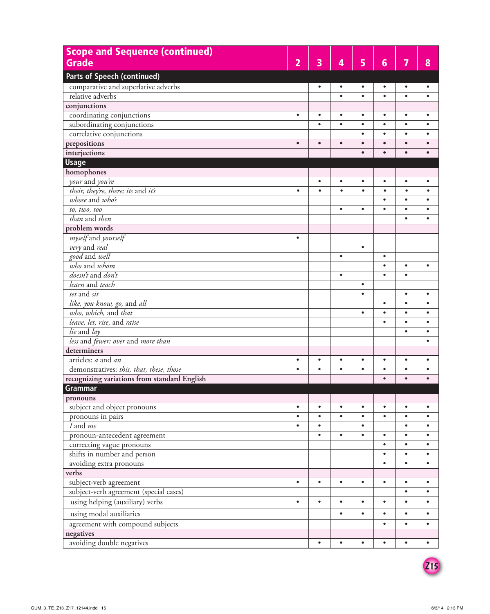| <b>Scope and Sequence (continued)</b>        |                |           |           |           |                 |           |           |
|----------------------------------------------|----------------|-----------|-----------|-----------|-----------------|-----------|-----------|
| <b>Grade</b>                                 | $\overline{2}$ | 3         | 4         | 5         | $6\phantom{1}6$ | 7         | 8         |
|                                              |                |           |           |           |                 |           |           |
| <b>Parts of Speech (continued)</b>           |                |           |           |           |                 |           |           |
| comparative and superlative adverbs          |                | $\bullet$ | $\bullet$ | $\bullet$ | $\bullet$       | $\bullet$ |           |
| relative adverbs                             |                |           | $\bullet$ | $\bullet$ | $\bullet$       | $\bullet$ |           |
| conjunctions                                 |                |           |           |           |                 |           |           |
| coordinating conjunctions                    | $\bullet$      | $\bullet$ | $\bullet$ | $\bullet$ | $\bullet$       | $\bullet$ | $\bullet$ |
| subordinating conjunctions                   |                | $\bullet$ | $\bullet$ | $\bullet$ | $\bullet$       | $\bullet$ |           |
| correlative conjunctions                     |                |           |           | $\bullet$ | $\bullet$       | $\bullet$ |           |
| prepositions                                 | $\bullet$      | $\bullet$ | $\bullet$ | $\bullet$ |                 |           |           |
| interjections                                |                |           |           | $\bullet$ | $\bullet$       | $\bullet$ |           |
| <b>Usage</b>                                 |                |           |           |           |                 |           |           |
| homophones                                   |                |           |           |           |                 |           |           |
| your and you're                              |                | $\bullet$ | $\bullet$ | $\bullet$ | $\bullet$       | $\bullet$ | $\bullet$ |
| their, they're, there; its and it's          | $\bullet$      | $\bullet$ | $\bullet$ | $\bullet$ | $\bullet$       | $\bullet$ |           |
| whose and $who's$                            |                |           |           |           | $\bullet$       | $\bullet$ |           |
| to, two, too                                 |                |           | $\bullet$ | $\bullet$ |                 | $\bullet$ |           |
| than and then                                |                |           |           |           |                 | $\bullet$ |           |
| problem words                                |                |           |           |           |                 |           |           |
| myself and yourself                          | $\bullet$      |           |           |           |                 |           |           |
| very and real                                |                |           |           | $\bullet$ |                 |           |           |
| good and well                                |                |           | $\bullet$ |           | $\bullet$       |           |           |
| who and whom                                 |                |           |           |           |                 | $\bullet$ | $\bullet$ |
| doesn't and don't                            |                |           | $\bullet$ |           | $\bullet$       | $\bullet$ |           |
| learn and teach                              |                |           |           | $\bullet$ |                 |           |           |
| set and sit                                  |                |           |           | $\bullet$ |                 | $\bullet$ | $\bullet$ |
| like, you know, go, and all                  |                |           |           |           | $\bullet$       | $\bullet$ |           |
| who, which, and that                         |                |           |           | $\bullet$ | $\bullet$       | $\bullet$ |           |
| leave, let, rise, and raise                  |                |           |           |           |                 | $\bullet$ |           |
| lie and lay                                  |                |           |           |           |                 | $\bullet$ |           |
| less and fewer; over and more than           |                |           |           |           |                 |           |           |
| determiners                                  |                |           |           |           |                 |           |           |
| articles: a and an                           | $\bullet$      | $\bullet$ |           | $\bullet$ |                 |           |           |
| demonstratives: this, that, these, those     | ٠              |           |           | ٠         |                 |           |           |
| recognizing variations from standard English |                |           |           |           |                 | $\bullet$ |           |
| <b>Grammar</b>                               |                |           |           |           |                 |           |           |
| pronouns                                     |                |           |           |           |                 |           |           |
| subject and object pronouns                  | $\bullet$      | $\bullet$ | $\bullet$ | $\bullet$ | $\bullet$       | $\bullet$ | $\bullet$ |
| pronouns in pairs                            | $\bullet$      | $\bullet$ | $\bullet$ | $\bullet$ | $\bullet$       | $\bullet$ | $\bullet$ |
| I and me                                     | $\bullet$      | $\bullet$ |           | $\bullet$ |                 | $\bullet$ | $\bullet$ |
| pronoun-antecedent agreement                 |                | $\bullet$ | $\bullet$ | $\bullet$ | $\bullet$       | $\bullet$ | $\bullet$ |
| correcting vague pronouns                    |                |           |           |           | $\bullet$       | $\bullet$ | $\bullet$ |
| shifts in number and person                  |                |           |           |           | $\bullet$       | $\bullet$ | $\bullet$ |
| avoiding extra pronouns                      |                |           |           |           |                 | $\bullet$ | $\bullet$ |
| verbs                                        |                |           |           |           |                 |           |           |
| subject-verb agreement                       | $\bullet$      | $\bullet$ | $\bullet$ | $\bullet$ | $\bullet$       | $\bullet$ | $\bullet$ |
| subject-verb agreement (special cases)       |                |           |           |           |                 | $\bullet$ | $\bullet$ |
| using helping (auxiliary) verbs              | $\bullet$      | $\bullet$ | $\bullet$ | $\bullet$ | $\bullet$       | $\bullet$ | $\bullet$ |
| using modal auxiliaries                      |                |           | $\bullet$ | $\bullet$ | $\bullet$       | $\bullet$ | $\bullet$ |
| agreement with compound subjects             |                |           |           |           | $\bullet$       | $\bullet$ | $\bullet$ |
| negatives                                    |                |           |           |           |                 |           |           |
| avoiding double negatives                    |                | $\bullet$ | $\bullet$ | $\bullet$ | $\bullet$       | $\bullet$ | $\bullet$ |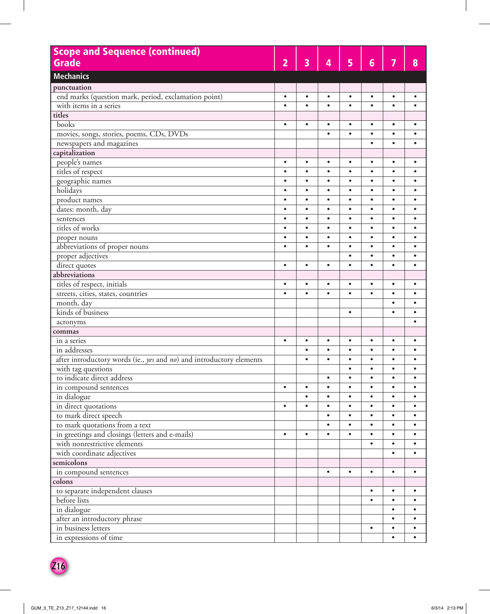| <b>Scope and Sequence (continued)</b>                                |                |                         |           |           |                 |           |           |
|----------------------------------------------------------------------|----------------|-------------------------|-----------|-----------|-----------------|-----------|-----------|
| Grade                                                                | $\overline{2}$ | $\overline{\mathbf{3}}$ | 4         | 5         | $6\phantom{1}6$ | 7         | 8         |
| <b>Mechanics</b>                                                     |                |                         |           |           |                 |           |           |
|                                                                      |                |                         |           |           |                 |           |           |
| punctuation                                                          |                |                         |           |           |                 |           |           |
| end marks (question mark, period, exclamation point)                 | $\bullet$      | $\bullet$               | $\bullet$ | $\bullet$ | $\bullet$       | $\bullet$ | $\bullet$ |
| with items in a series                                               | $\bullet$      | $\bullet$               | $\bullet$ | $\bullet$ | $\bullet$       | $\bullet$ | $\bullet$ |
| titles                                                               |                |                         |           |           |                 |           |           |
| books                                                                | $\bullet$      | $\bullet$               | $\bullet$ | $\bullet$ | $\bullet$       | $\bullet$ | $\bullet$ |
| movies, songs, stories, poems, CDs, DVDs                             |                |                         | $\bullet$ | $\bullet$ | $\bullet$       | $\bullet$ | $\bullet$ |
| newspapers and magazines                                             |                |                         |           |           | $\bullet$       | $\bullet$ | ٠         |
| capitalization                                                       |                |                         |           |           |                 |           |           |
| people's names                                                       | $\bullet$      | $\bullet$               | $\bullet$ | $\bullet$ | $\bullet$       | $\bullet$ | $\bullet$ |
| titles of respect                                                    | $\bullet$      | $\bullet$               | $\bullet$ | $\bullet$ | $\bullet$       | $\bullet$ | $\bullet$ |
| geographic names                                                     | $\bullet$      | $\bullet$               | $\bullet$ | $\bullet$ | $\bullet$       | $\bullet$ | $\bullet$ |
| holidays                                                             | $\bullet$      | $\bullet$               | $\bullet$ | $\bullet$ | $\bullet$       | $\bullet$ | $\bullet$ |
| product names                                                        | $\bullet$      | $\bullet$               | $\bullet$ | $\bullet$ | $\bullet$       | $\bullet$ | $\bullet$ |
| dates: month, day                                                    | $\bullet$      | $\bullet$               | $\bullet$ | $\bullet$ | $\bullet$       | $\bullet$ | $\bullet$ |
| sentences                                                            | $\bullet$      | $\bullet$               | $\bullet$ | $\bullet$ | $\bullet$       | $\bullet$ | $\bullet$ |
| titles of works                                                      | $\bullet$      | $\bullet$               | $\bullet$ | $\bullet$ | $\bullet$       | $\bullet$ | $\bullet$ |
| proper nouns                                                         | $\bullet$      | $\bullet$               | $\bullet$ | $\bullet$ | $\bullet$       | $\bullet$ | $\bullet$ |
| abbreviations of proper nouns                                        | $\bullet$      | $\bullet$               | $\bullet$ | $\bullet$ | $\bullet$       | $\bullet$ | $\bullet$ |
| proper adjectives                                                    |                |                         |           | $\bullet$ | $\bullet$       | $\bullet$ | $\bullet$ |
| direct quotes                                                        | $\bullet$      | $\bullet$               | $\bullet$ | $\bullet$ | $\bullet$       | $\bullet$ | $\bullet$ |
| abbreviations                                                        |                |                         |           |           |                 |           |           |
| titles of respect, initials                                          | $\bullet$      | $\bullet$               | $\bullet$ | $\bullet$ | $\bullet$       | $\bullet$ | $\bullet$ |
| streets, cities, states, countries                                   | $\bullet$      | $\bullet$               | $\bullet$ | $\bullet$ | $\bullet$       | $\bullet$ | $\bullet$ |
| month, day                                                           |                |                         |           |           |                 | $\bullet$ | $\bullet$ |
| kinds of business                                                    |                |                         |           | $\bullet$ |                 | $\bullet$ | $\bullet$ |
| acronyms                                                             |                |                         |           |           |                 |           | $\bullet$ |
| commas                                                               |                |                         |           |           |                 |           |           |
| in a series                                                          | $\bullet$      | $\bullet$               | $\bullet$ | $\bullet$ | $\bullet$       | $\bullet$ | $\bullet$ |
| in addresses                                                         |                | $\bullet$               | $\bullet$ | $\bullet$ | $\bullet$       | $\bullet$ | $\bullet$ |
| after introductory words (ie., yes and no) and introductory elements |                | $\bullet$               | $\bullet$ | $\bullet$ | $\bullet$       | $\bullet$ | $\bullet$ |
| with tag questions                                                   |                |                         |           |           |                 |           |           |
| to indicate direct address                                           |                |                         | $\bullet$ | $\bullet$ | $\bullet$       | $\bullet$ | $\bullet$ |
| in compound sentences                                                | $\bullet$      | $\bullet$               | $\bullet$ | $\bullet$ | $\bullet$       | $\bullet$ | $\bullet$ |
| in dialogue                                                          |                | $\bullet$               | $\bullet$ | $\bullet$ | $\bullet$       | $\bullet$ | $\bullet$ |
| in direct quotations                                                 | $\bullet$      | $\bullet$               | $\bullet$ | $\bullet$ | $\bullet$       | $\bullet$ | $\bullet$ |
| to mark direct speech                                                |                |                         | $\bullet$ | $\bullet$ | $\bullet$       | $\bullet$ | $\bullet$ |
| to mark quotations from a text                                       |                |                         | $\bullet$ | $\bullet$ |                 | $\bullet$ | $\bullet$ |
| in greetings and closings (letters and e-mails)                      | $\bullet$      | $\bullet$               | $\bullet$ | $\bullet$ | $\bullet$       | $\bullet$ | $\bullet$ |
| with nonrestrictive elements                                         |                |                         |           |           | $\bullet$       | $\bullet$ | $\bullet$ |
| with coordinate adjectives                                           |                |                         |           |           |                 | $\bullet$ | $\bullet$ |
| semicolons                                                           |                |                         |           |           |                 |           |           |
| in compound sentences                                                |                |                         | $\bullet$ | $\bullet$ | $\bullet$       | $\bullet$ | $\bullet$ |
| colons                                                               |                |                         |           |           |                 |           |           |
| to separate independent clauses                                      |                |                         |           |           | $\bullet$       | $\bullet$ | $\bullet$ |
| before lists                                                         |                |                         |           |           | $\bullet$       | $\bullet$ | $\bullet$ |
| in dialogue                                                          |                |                         |           |           |                 | $\bullet$ | $\bullet$ |
| after an introductory phrase                                         |                |                         |           |           |                 | $\bullet$ | $\bullet$ |
| in business letters                                                  |                |                         |           |           | $\bullet$       | $\bullet$ | $\bullet$ |
|                                                                      |                |                         |           |           |                 | $\bullet$ | $\bullet$ |
| in expressions of time                                               |                |                         |           |           |                 |           |           |